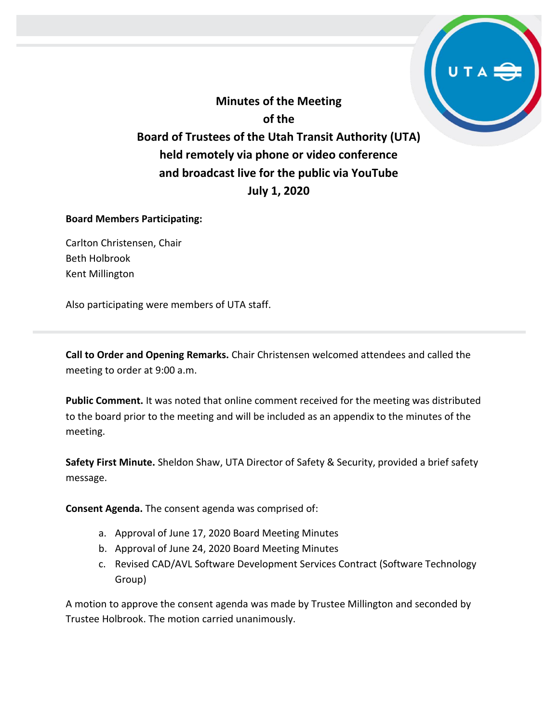**Minutes of the Meeting of the Board of Trustees of the Utah Transit Authority (UTA) held remotely via phone or video conference and broadcast live for the public via YouTube July 1, 2020**

#### **Board Members Participating:**

Carlton Christensen, Chair Beth Holbrook Kent Millington

Also participating were members of UTA staff.

**Call to Order and Opening Remarks.** Chair Christensen welcomed attendees and called the meeting to order at 9:00 a.m.

**Public Comment.** It was noted that online comment received for the meeting was distributed to the board prior to the meeting and will be included as an appendix to the minutes of the meeting.

**Safety First Minute.** Sheldon Shaw, UTA Director of Safety & Security, provided a brief safety message.

**Consent Agenda.** The consent agenda was comprised of:

- a. Approval of June 17, 2020 Board Meeting Minutes
- b. Approval of June 24, 2020 Board Meeting Minutes
- c. Revised CAD/AVL Software Development Services Contract (Software Technology Group)

A motion to approve the consent agenda was made by Trustee Millington and seconded by Trustee Holbrook. The motion carried unanimously.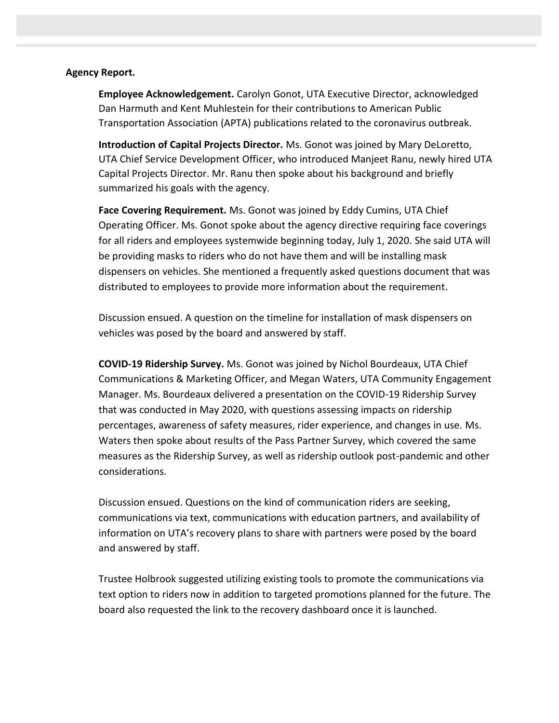#### **Agency Report.**

**Employee Acknowledgement.** Carolyn Gonot, UTA Executive Director, acknowledged Dan Harmuth and Kent Muhlestein for their contributions to American Public Transportation Association (APTA) publications related to the coronavirus outbreak.

**Introduction of Capital Projects Director.** Ms. Gonot was joined by Mary DeLoretto, UTA Chief Service Development Officer, who introduced Manjeet Ranu, newly hired UTA Capital Projects Director. Mr. Ranu then spoke about his background and briefly summarized his goals with the agency.

**Face Covering Requirement.** Ms. Gonot was joined by Eddy Cumins, UTA Chief Operating Officer. Ms. Gonot spoke about the agency directive requiring face coverings for all riders and employees systemwide beginning today, July 1, 2020. She said UTA will be providing masks to riders who do not have them and will be installing mask dispensers on vehicles. She mentioned a frequently asked questions document that was distributed to employees to provide more information about the requirement.

Discussion ensued. A question on the timeline for installation of mask dispensers on vehicles was posed by the board and answered by staff.

**COVID-19 Ridership Survey.** Ms. Gonot was joined by Nichol Bourdeaux, UTA Chief Communications & Marketing Officer, and Megan Waters, UTA Community Engagement Manager. Ms. Bourdeaux delivered a presentation on the COVID-19 Ridership Survey that was conducted in May 2020, with questions assessing impacts on ridership percentages, awareness of safety measures, rider experience, and changes in use. Ms. Waters then spoke about results of the Pass Partner Survey, which covered the same measures as the Ridership Survey, as well as ridership outlook post-pandemic and other considerations.

Discussion ensued. Questions on the kind of communication riders are seeking, communications via text, communications with education partners, and availability of information on UTA's recovery plans to share with partners were posed by the board and answered by staff.

Trustee Holbrook suggested utilizing existing tools to promote the communications via text option to riders now in addition to targeted promotions planned for the future. The board also requested the link to the recovery dashboard once it is launched.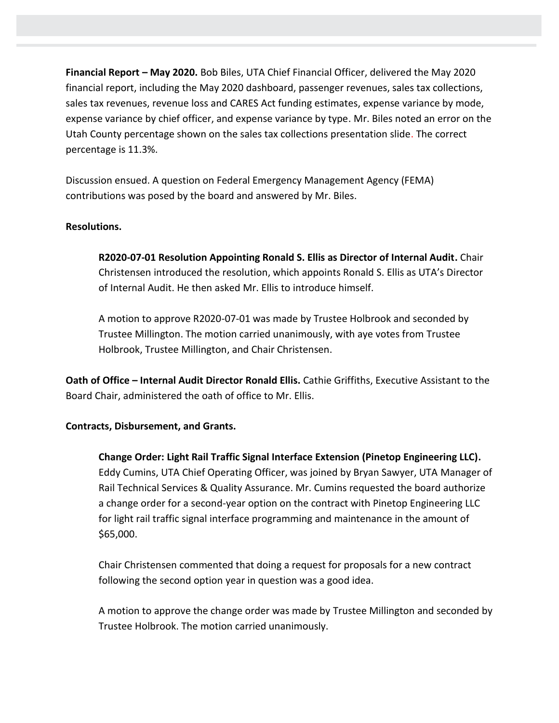**Financial Report – May 2020.** Bob Biles, UTA Chief Financial Officer, delivered the May 2020 financial report, including the May 2020 dashboard, passenger revenues, sales tax collections, sales tax revenues, revenue loss and CARES Act funding estimates, expense variance by mode, expense variance by chief officer, and expense variance by type. Mr. Biles noted an error on the Utah County percentage shown on the sales tax collections presentation slide. The correct percentage is 11.3%.

Discussion ensued. A question on Federal Emergency Management Agency (FEMA) contributions was posed by the board and answered by Mr. Biles.

## **Resolutions.**

**R2020-07-01 Resolution Appointing Ronald S. Ellis as Director of Internal Audit.** Chair Christensen introduced the resolution, which appoints Ronald S. Ellis as UTA's Director of Internal Audit. He then asked Mr. Ellis to introduce himself.

A motion to approve R2020-07-01 was made by Trustee Holbrook and seconded by Trustee Millington. The motion carried unanimously, with aye votes from Trustee Holbrook, Trustee Millington, and Chair Christensen.

**Oath of Office – Internal Audit Director Ronald Ellis.** Cathie Griffiths, Executive Assistant to the Board Chair, administered the oath of office to Mr. Ellis.

### **Contracts, Disbursement, and Grants.**

**Change Order: Light Rail Traffic Signal Interface Extension (Pinetop Engineering LLC).** Eddy Cumins, UTA Chief Operating Officer, was joined by Bryan Sawyer, UTA Manager of Rail Technical Services & Quality Assurance. Mr. Cumins requested the board authorize a change order for a second-year option on the contract with Pinetop Engineering LLC for light rail traffic signal interface programming and maintenance in the amount of \$65,000.

Chair Christensen commented that doing a request for proposals for a new contract following the second option year in question was a good idea.

A motion to approve the change order was made by Trustee Millington and seconded by Trustee Holbrook. The motion carried unanimously.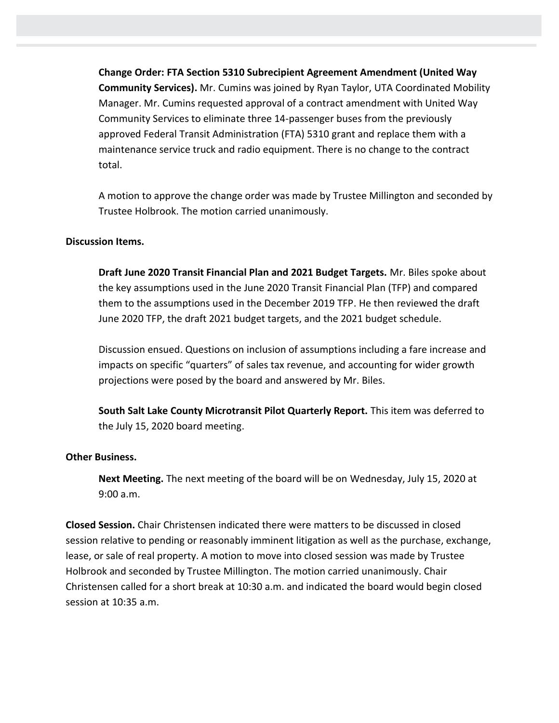**Change Order: FTA Section 5310 Subrecipient Agreement Amendment (United Way Community Services).** Mr. Cumins was joined by Ryan Taylor, UTA Coordinated Mobility Manager. Mr. Cumins requested approval of a contract amendment with United Way Community Services to eliminate three 14-passenger buses from the previously approved Federal Transit Administration (FTA) 5310 grant and replace them with a maintenance service truck and radio equipment. There is no change to the contract total.

A motion to approve the change order was made by Trustee Millington and seconded by Trustee Holbrook. The motion carried unanimously.

### **Discussion Items.**

**Draft June 2020 Transit Financial Plan and 2021 Budget Targets.** Mr. Biles spoke about the key assumptions used in the June 2020 Transit Financial Plan (TFP) and compared them to the assumptions used in the December 2019 TFP. He then reviewed the draft June 2020 TFP, the draft 2021 budget targets, and the 2021 budget schedule.

Discussion ensued. Questions on inclusion of assumptions including a fare increase and impacts on specific "quarters" of sales tax revenue, and accounting for wider growth projections were posed by the board and answered by Mr. Biles.

**South Salt Lake County Microtransit Pilot Quarterly Report.** This item was deferred to the July 15, 2020 board meeting.

#### **Other Business.**

**Next Meeting.** The next meeting of the board will be on Wednesday, July 15, 2020 at 9:00 a.m.

**Closed Session.** Chair Christensen indicated there were matters to be discussed in closed session relative to pending or reasonably imminent litigation as well as the purchase, exchange, lease, or sale of real property. A motion to move into closed session was made by Trustee Holbrook and seconded by Trustee Millington. The motion carried unanimously. Chair Christensen called for a short break at 10:30 a.m. and indicated the board would begin closed session at 10:35 a.m.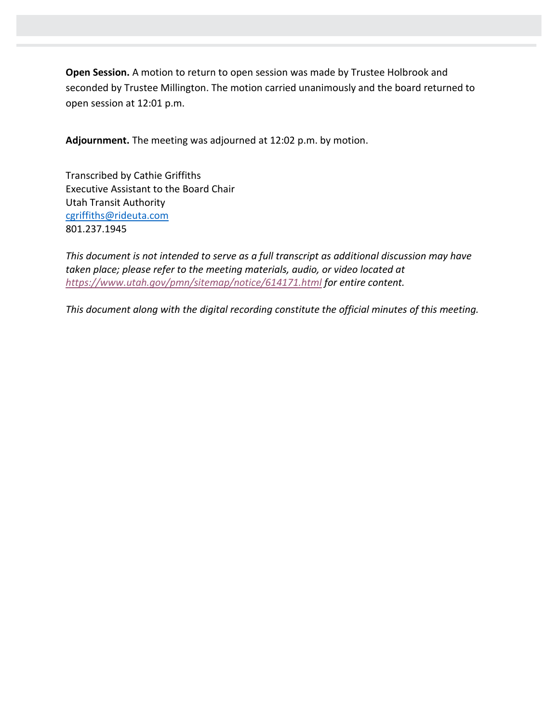**Open Session.** A motion to return to open session was made by Trustee Holbrook and seconded by Trustee Millington. The motion carried unanimously and the board returned to open session at 12:01 p.m.

**Adjournment.** The meeting was adjourned at 12:02 p.m. by motion.

Transcribed by Cathie Griffiths Executive Assistant to the Board Chair Utah Transit Authority [cgriffiths@rideuta.com](mailto:cgriffiths@rideuta.com) 801.237.1945

*This document is not intended to serve as a full transcript as additional discussion may have taken place; please refer to the meeting materials, audio, or video located at <https://www.utah.gov/pmn/sitemap/notice/614171.html> for entire content.*

*This document along with the digital recording constitute the official minutes of this meeting.*